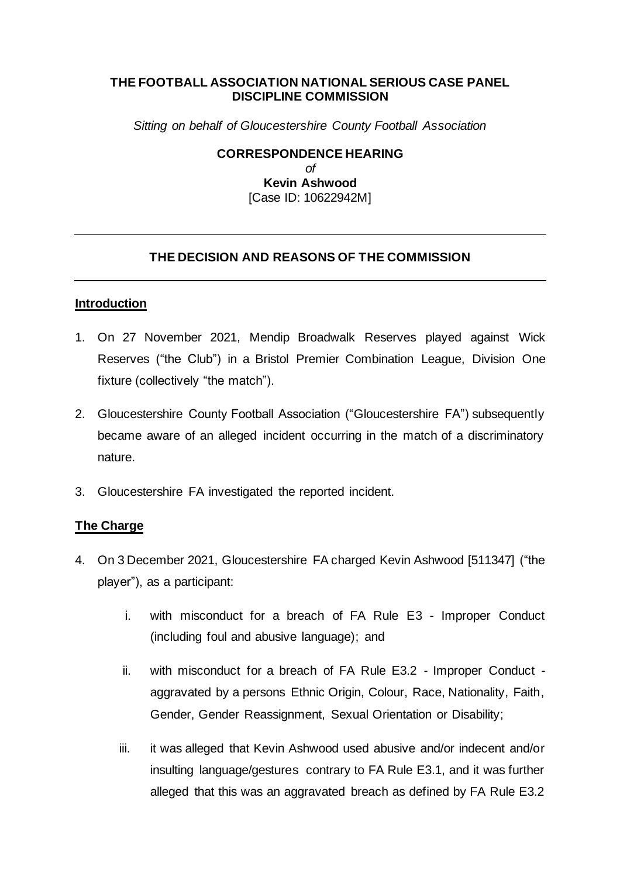### **THE FOOTBALL ASSOCIATION NATIONAL SERIOUS CASE PANEL DISCIPLINE COMMISSION**

*Sitting on behalf of Gloucestershire County Football Association*

**CORRESPONDENCE HEARING** *of* **Kevin Ashwood**  [Case ID: 10622942M]

### **THE DECISION AND REASONS OF THE COMMISSION**

#### **Introduction**

- 1. On 27 November 2021, Mendip Broadwalk Reserves played against Wick Reserves ("the Club") in a Bristol Premier Combination League, Division One fixture (collectively "the match").
- 2. Gloucestershire County Football Association ("Gloucestershire FA") subsequently became aware of an alleged incident occurring in the match of a discriminatory nature.
- 3. Gloucestershire FA investigated the reported incident.

### **The Charge**

- 4. On 3 December 2021, Gloucestershire FA charged Kevin Ashwood [511347] ("the player"), as a participant:
	- i. with misconduct for a breach of FA Rule E3 Improper Conduct (including foul and abusive language); and
	- ii. with misconduct for a breach of FA Rule E3.2 Improper Conduct aggravated by a persons Ethnic Origin, Colour, Race, Nationality, Faith, Gender, Gender Reassignment, Sexual Orientation or Disability;
	- iii. it was alleged that Kevin Ashwood used abusive and/or indecent and/or insulting language/gestures contrary to FA Rule E3.1, and it was further alleged that this was an aggravated breach as defined by FA Rule E3.2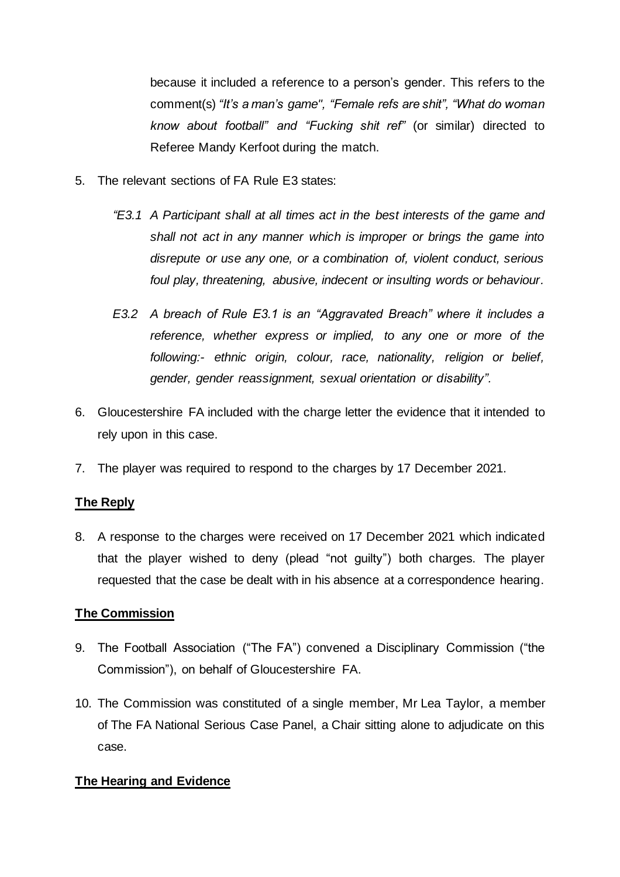because it included a reference to a person's gender. This refers to the comment(s) *"It's a man's game", "Female refs are shit", "What do woman know about football" and "Fucking shit ref"* (or similar) directed to Referee Mandy Kerfoot during the match.

- 5. The relevant sections of FA Rule E3 states:
	- *"E3.1 A Participant shall at all times act in the best interests of the game and shall not act in any manner which is improper or brings the game into disrepute or use any one, or a combination of, violent conduct, serious foul play, threatening, abusive, indecent or insulting words or behaviour.*
	- *E3.2 A breach of Rule E3.1 is an "Aggravated Breach" where it includes a reference, whether express or implied, to any one or more of the following:- ethnic origin, colour, race, nationality, religion or belief, gender, gender reassignment, sexual orientation or disability".*
- 6. Gloucestershire FA included with the charge letter the evidence that it intended to rely upon in this case.
- 7. The player was required to respond to the charges by 17 December 2021.

# **The Reply**

8. A response to the charges were received on 17 December 2021 which indicated that the player wished to deny (plead "not guilty") both charges. The player requested that the case be dealt with in his absence at a correspondence hearing.

### **The Commission**

- 9. The Football Association ("The FA") convened a Disciplinary Commission ("the Commission"), on behalf of Gloucestershire FA.
- 10. The Commission was constituted of a single member, Mr Lea Taylor, a member of The FA National Serious Case Panel, a Chair sitting alone to adjudicate on this case.

# **The Hearing and Evidence**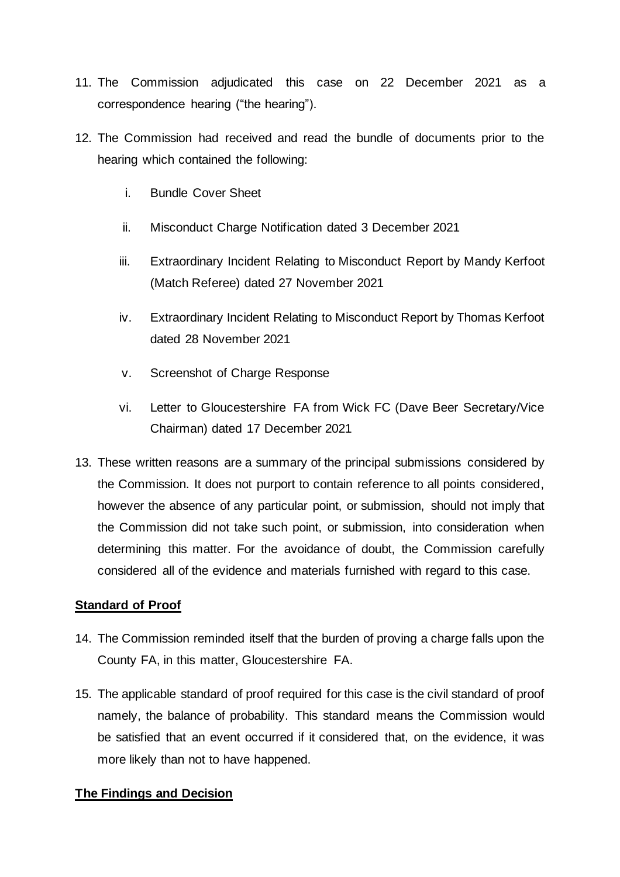- 11. The Commission adjudicated this case on 22 December 2021 as a correspondence hearing ("the hearing").
- 12. The Commission had received and read the bundle of documents prior to the hearing which contained the following:
	- i. Bundle Cover Sheet
	- ii. Misconduct Charge Notification dated 3 December 2021
	- iii. Extraordinary Incident Relating to Misconduct Report by Mandy Kerfoot (Match Referee) dated 27 November 2021
	- iv. Extraordinary Incident Relating to Misconduct Report by Thomas Kerfoot dated 28 November 2021
	- v. Screenshot of Charge Response
	- vi. Letter to Gloucestershire FA from Wick FC (Dave Beer Secretary/Vice Chairman) dated 17 December 2021
- 13. These written reasons are a summary of the principal submissions considered by the Commission. It does not purport to contain reference to all points considered, however the absence of any particular point, or submission, should not imply that the Commission did not take such point, or submission, into consideration when determining this matter. For the avoidance of doubt, the Commission carefully considered all of the evidence and materials furnished with regard to this case.

# **Standard of Proof**

- 14. The Commission reminded itself that the burden of proving a charge falls upon the County FA, in this matter, Gloucestershire FA.
- 15. The applicable standard of proof required for this case is the civil standard of proof namely, the balance of probability. This standard means the Commission would be satisfied that an event occurred if it considered that, on the evidence, it was more likely than not to have happened.

# **The Findings and Decision**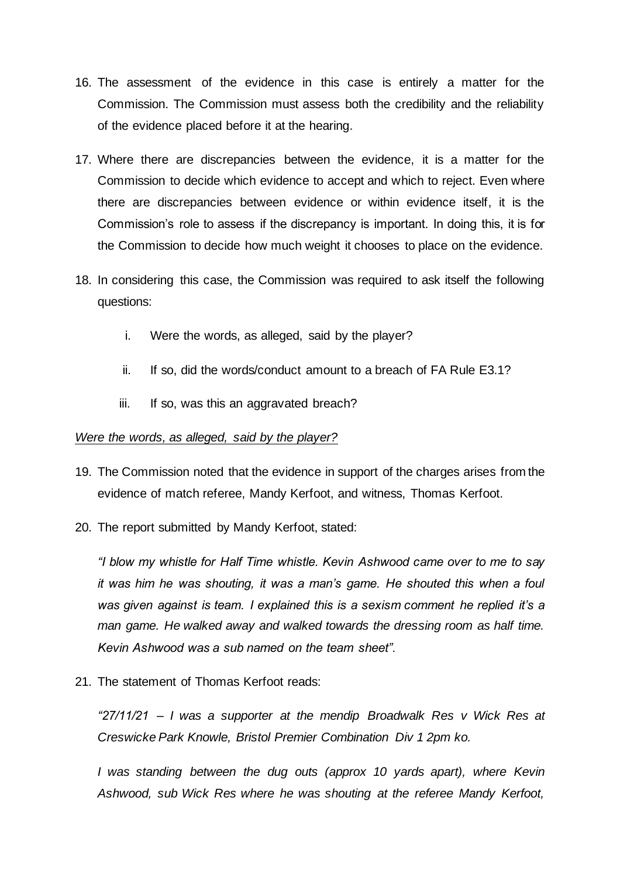- 16. The assessment of the evidence in this case is entirely a matter for the Commission. The Commission must assess both the credibility and the reliability of the evidence placed before it at the hearing.
- 17. Where there are discrepancies between the evidence, it is a matter for the Commission to decide which evidence to accept and which to reject. Even where there are discrepancies between evidence or within evidence itself, it is the Commission's role to assess if the discrepancy is important. In doing this, it is for the Commission to decide how much weight it chooses to place on the evidence.
- 18. In considering this case, the Commission was required to ask itself the following questions:
	- i. Were the words, as alleged, said by the player?
	- ii. If so, did the words/conduct amount to a breach of FA Rule E3.1?
	- iii. If so, was this an aggravated breach?

### *Were the words, as alleged, said by the player?*

- 19. The Commission noted that the evidence in support of the charges arises from the evidence of match referee, Mandy Kerfoot, and witness, Thomas Kerfoot.
- 20. The report submitted by Mandy Kerfoot, stated:

*"I blow my whistle for Half Time whistle. Kevin Ashwood came over to me to say it was him he was shouting, it was a man's game. He shouted this when a foul was given against is team. I explained this is a sexism comment he replied it's a man game. He walked away and walked towards the dressing room as half time. Kevin Ashwood was a sub named on the team sheet".*

21. The statement of Thomas Kerfoot reads:

*"27/11/21 – I was a supporter at the mendip Broadwalk Res v Wick Res at Creswicke Park Knowle, Bristol Premier Combination Div 1 2pm ko.*

*I* was standing between the dug outs (approx 10 yards apart), where Kevin *Ashwood, sub Wick Res where he was shouting at the referee Mandy Kerfoot,*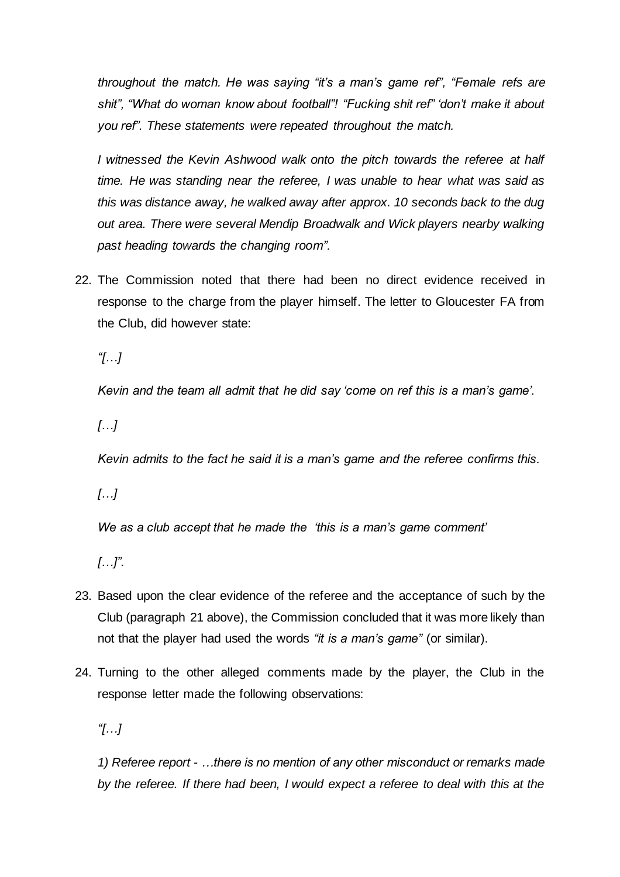*throughout the match. He was saying "it's a man's game ref", "Female refs are shit", "What do woman know about football"! "Fucking shit ref" 'don't make it about you ref". These statements were repeated throughout the match.*

*I witnessed the Kevin Ashwood walk onto the pitch towards the referee at half time. He was standing near the referee, I was unable to hear what was said as this was distance away, he walked away after approx. 10 seconds back to the dug out area. There were several Mendip Broadwalk and Wick players nearby walking past heading towards the changing room".*

22. The Commission noted that there had been no direct evidence received in response to the charge from the player himself. The letter to Gloucester FA from the Club, did however state:

*"[…]*

*Kevin and the team all admit that he did say 'come on ref this is a man's game'.*

*[…]*

*Kevin admits to the fact he said it is a man's game and the referee confirms this.*

*[…]*

*We as a club accept that he made the 'this is a man's game comment'*

*[…]".*

- 23. Based upon the clear evidence of the referee and the acceptance of such by the Club (paragraph 21 above), the Commission concluded that it was more likely than not that the player had used the words *"it is a man's game"* (or similar).
- 24. Turning to the other alleged comments made by the player, the Club in the response letter made the following observations:

*"[…]*

*1) Referee report - …there is no mention of any other misconduct or remarks made by the referee. If there had been, I would expect a referee to deal with this at the*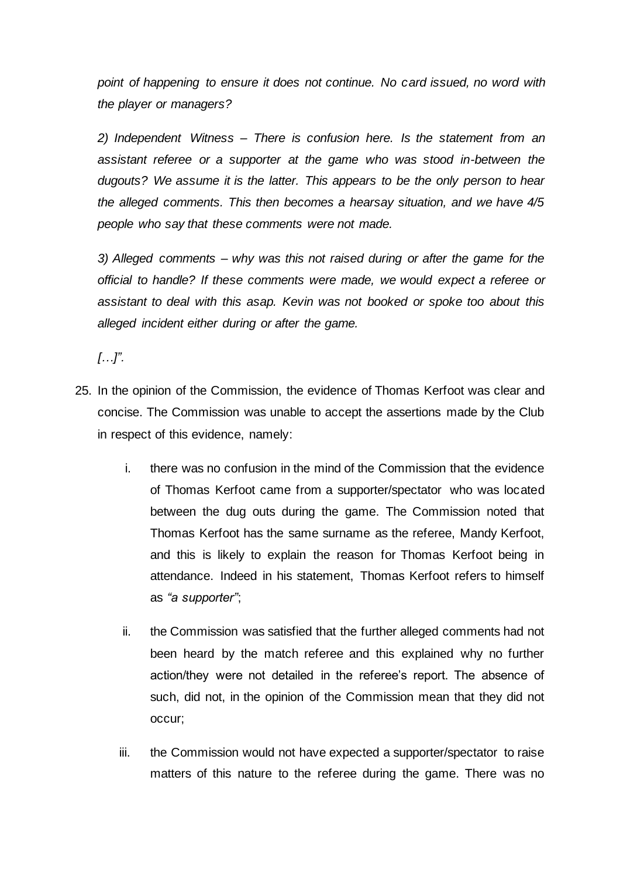*point of happening to ensure it does not continue. No card issued, no word with the player or managers?*

*2) Independent Witness – There is confusion here. Is the statement from an assistant referee or a supporter at the game who was stood in-between the dugouts? We assume it is the latter. This appears to be the only person to hear the alleged comments. This then becomes a hearsay situation, and we have 4/5 people who say that these comments were not made.*

*3) Alleged comments – why was this not raised during or after the game for the official to handle? If these comments were made, we would expect a referee or assistant to deal with this asap. Kevin was not booked or spoke too about this alleged incident either during or after the game.*

*[…]".*

- 25. In the opinion of the Commission, the evidence of Thomas Kerfoot was clear and concise. The Commission was unable to accept the assertions made by the Club in respect of this evidence, namely:
	- i. there was no confusion in the mind of the Commission that the evidence of Thomas Kerfoot came from a supporter/spectator who was located between the dug outs during the game. The Commission noted that Thomas Kerfoot has the same surname as the referee, Mandy Kerfoot, and this is likely to explain the reason for Thomas Kerfoot being in attendance. Indeed in his statement, Thomas Kerfoot refers to himself as *"a supporter"*;
	- ii. the Commission was satisfied that the further alleged comments had not been heard by the match referee and this explained why no further action/they were not detailed in the referee's report. The absence of such, did not, in the opinion of the Commission mean that they did not occur;
	- iii. the Commission would not have expected a supporter/spectator to raise matters of this nature to the referee during the game. There was no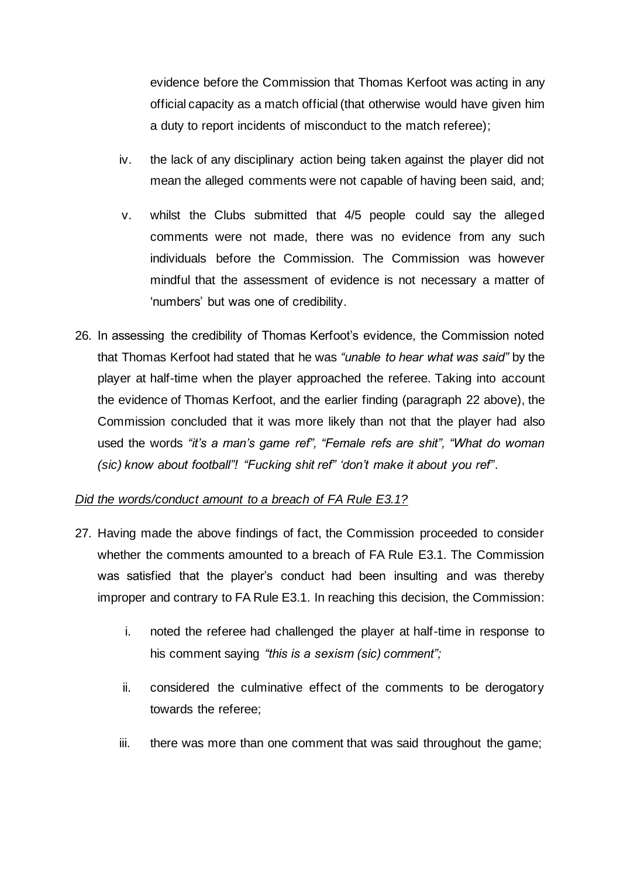evidence before the Commission that Thomas Kerfoot was acting in any official capacity as a match official (that otherwise would have given him a duty to report incidents of misconduct to the match referee);

- iv. the lack of any disciplinary action being taken against the player did not mean the alleged comments were not capable of having been said, and;
- v. whilst the Clubs submitted that 4/5 people could say the alleged comments were not made, there was no evidence from any such individuals before the Commission. The Commission was however mindful that the assessment of evidence is not necessary a matter of 'numbers' but was one of credibility.
- 26. In assessing the credibility of Thomas Kerfoot's evidence, the Commission noted that Thomas Kerfoot had stated that he was *"unable to hear what was said"* by the player at half-time when the player approached the referee. Taking into account the evidence of Thomas Kerfoot, and the earlier finding (paragraph 22 above), the Commission concluded that it was more likely than not that the player had also used the words *"it's a man's game ref", "Female refs are shit", "What do woman (sic) know about football"! "Fucking shit ref" 'don't make it about you ref"*.

# *Did the words/conduct amount to a breach of FA Rule E3.1?*

- 27. Having made the above findings of fact, the Commission proceeded to consider whether the comments amounted to a breach of FA Rule E3.1. The Commission was satisfied that the player's conduct had been insulting and was thereby improper and contrary to FA Rule E3.1. In reaching this decision, the Commission:
	- i. noted the referee had challenged the player at half-time in response to his comment saying *"this is a sexism (sic) comment";*
	- ii. considered the culminative effect of the comments to be derogatory towards the referee;
	- iii. there was more than one comment that was said throughout the game;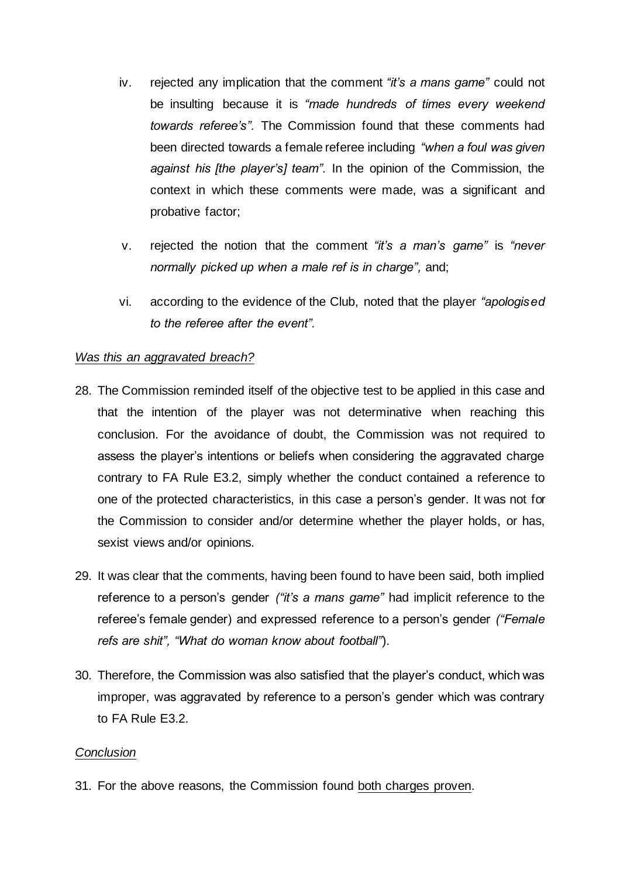- iv. rejected any implication that the comment *"it's a mans game"* could not be insulting because it is *"made hundreds of times every weekend towards referee's".* The Commission found that these comments had been directed towards a female referee including *"when a foul was given against his [the player's] team".* In the opinion of the Commission, the context in which these comments were made, was a significant and probative factor;
- v. rejected the notion that the comment *"it's a man's game"* is *"never normally picked up when a male ref is in charge",* and;
- vi. according to the evidence of the Club, noted that the player *"apologised to the referee after the event".*

#### *Was this an aggravated breach?*

- 28. The Commission reminded itself of the objective test to be applied in this case and that the intention of the player was not determinative when reaching this conclusion. For the avoidance of doubt, the Commission was not required to assess the player's intentions or beliefs when considering the aggravated charge contrary to FA Rule E3.2, simply whether the conduct contained a reference to one of the protected characteristics, in this case a person's gender. It was not for the Commission to consider and/or determine whether the player holds, or has, sexist views and/or opinions.
- 29. It was clear that the comments, having been found to have been said, both implied reference to a person's gender *("it's a mans game"* had implicit reference to the referee's female gender) and expressed reference to a person's gender *("Female refs are shit", "What do woman know about football"*).
- 30. Therefore, the Commission was also satisfied that the player's conduct, which was improper, was aggravated by reference to a person's gender which was contrary to FA Rule E3.2.

### *Conclusion*

31. For the above reasons, the Commission found both charges proven.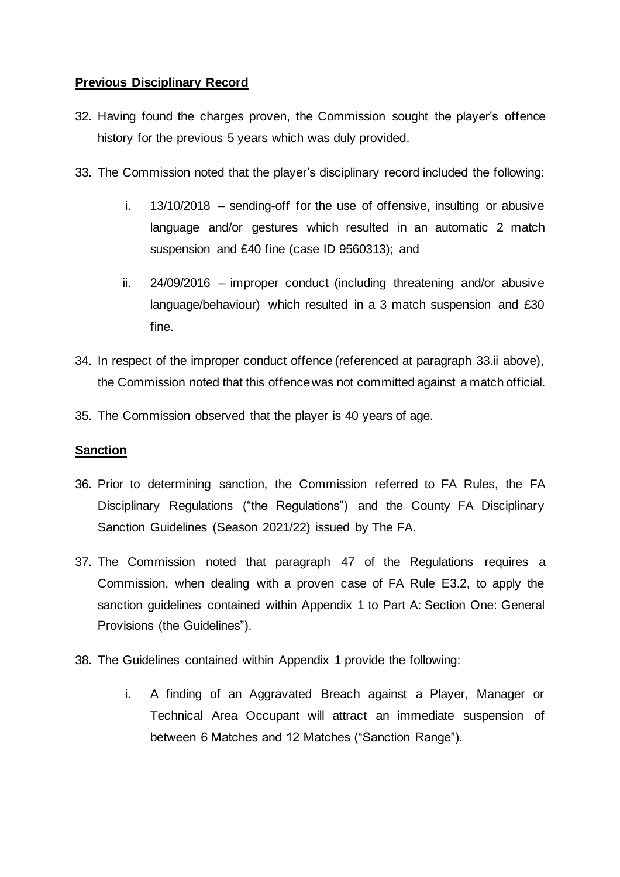# **Previous Disciplinary Record**

- 32. Having found the charges proven, the Commission sought the player's offence history for the previous 5 years which was duly provided.
- 33. The Commission noted that the player's disciplinary record included the following:
	- i. 13/10/2018 sending-off for the use of offensive, insulting or abusive language and/or gestures which resulted in an automatic 2 match suspension and £40 fine (case ID 9560313); and
	- ii. 24/09/2016 improper conduct (including threatening and/or abusive language/behaviour) which resulted in a 3 match suspension and £30 fine.
- 34. In respect of the improper conduct offence (referenced at paragraph 33.ii above), the Commission noted that this offence was not committed against a match official.
- 35. The Commission observed that the player is 40 years of age.

### **Sanction**

- 36. Prior to determining sanction, the Commission referred to FA Rules, the FA Disciplinary Regulations ("the Regulations") and the County FA Disciplinary Sanction Guidelines (Season 2021/22) issued by The FA*.*
- 37. The Commission noted that paragraph 47 of the Regulations requires a Commission, when dealing with a proven case of FA Rule E3.2, to apply the sanction guidelines contained within Appendix 1 to Part A: Section One: General Provisions (the Guidelines").
- 38. The Guidelines contained within Appendix 1 provide the following:
	- i. A finding of an Aggravated Breach against a Player, Manager or Technical Area Occupant will attract an immediate suspension of between 6 Matches and 12 Matches ("Sanction Range").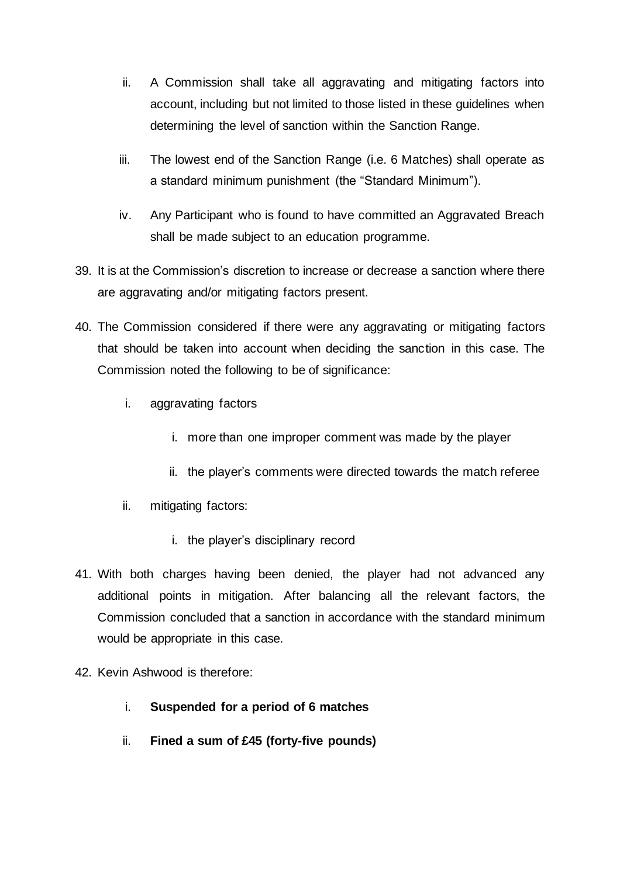- ii. A Commission shall take all aggravating and mitigating factors into account, including but not limited to those listed in these guidelines when determining the level of sanction within the Sanction Range.
- iii. The lowest end of the Sanction Range (i.e. 6 Matches) shall operate as a standard minimum punishment (the "Standard Minimum").
- iv. Any Participant who is found to have committed an Aggravated Breach shall be made subject to an education programme.
- 39. It is at the Commission's discretion to increase or decrease a sanction where there are aggravating and/or mitigating factors present.
- 40. The Commission considered if there were any aggravating or mitigating factors that should be taken into account when deciding the sanction in this case. The Commission noted the following to be of significance:
	- i. aggravating factors
		- i. more than one improper comment was made by the player
		- ii. the player's comments were directed towards the match referee
	- ii. mitigating factors:
		- i. the player's disciplinary record
- 41. With both charges having been denied, the player had not advanced any additional points in mitigation. After balancing all the relevant factors, the Commission concluded that a sanction in accordance with the standard minimum would be appropriate in this case.
- 42. Kevin Ashwood is therefore:
	- i. **Suspended for a period of 6 matches**
	- ii. **Fined a sum of £45 (forty-five pounds)**